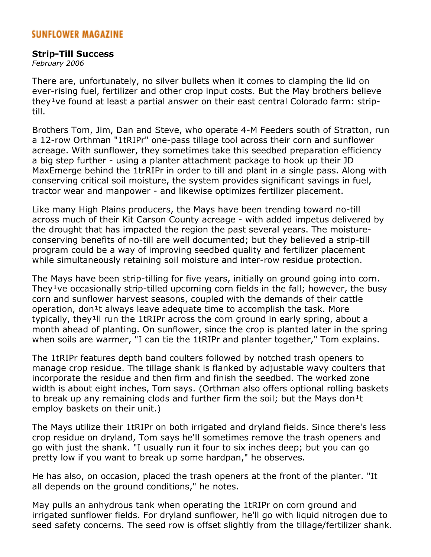## **Strip-Till Success**

*February 2006*

There are, unfortunately, no silver bullets when it comes to clamping the lid on ever-rising fuel, fertilizer and other crop input costs. But the May brothers believe they<sup>1</sup>ve found at least a partial answer on their east central Colorado farm: striptill.

Brothers Tom, Jim, Dan and Steve, who operate 4-M Feeders south of Stratton, run a 12-row Orthman "1tRIPr" one-pass tillage tool across their corn and sunflower acreage. With sunflower, they sometimes take this seedbed preparation efficiency a big step further - using a planter attachment package to hook up their JD MaxEmerge behind the 1trRIPr in order to till and plant in a single pass. Along with conserving critical soil moisture, the system provides significant savings in fuel, tractor wear and manpower - and likewise optimizes fertilizer placement.

Like many High Plains producers, the Mays have been trending toward no-till across much of their Kit Carson County acreage - with added impetus delivered by the drought that has impacted the region the past several years. The moistureconserving benefits of no-till are well documented; but they believed a strip-till program could be a way of improving seedbed quality and fertilizer placement while simultaneously retaining soil moisture and inter-row residue protection.

The Mays have been strip-tilling for five years, initially on ground going into corn. They<sup>1</sup>ve occasionally strip-tilled upcoming corn fields in the fall; however, the busy corn and sunflower harvest seasons, coupled with the demands of their cattle operation, don<sup>1</sup>t always leave adequate time to accomplish the task. More typically, they<sup>1</sup>ll run the 1tRIPr across the corn ground in early spring, about a month ahead of planting. On sunflower, since the crop is planted later in the spring when soils are warmer, "I can tie the 1tRIPr and planter together," Tom explains.

The 1tRIPr features depth band coulters followed by notched trash openers to manage crop residue. The tillage shank is flanked by adjustable wavy coulters that incorporate the residue and then firm and finish the seedbed. The worked zone width is about eight inches, Tom says. (Orthman also offers optional rolling baskets to break up any remaining clods and further firm the soil; but the Mays don<sup>1</sup>t employ baskets on their unit.)

The Mays utilize their 1tRIPr on both irrigated and dryland fields. Since there's less crop residue on dryland, Tom says he'll sometimes remove the trash openers and go with just the shank. "I usually run it four to six inches deep; but you can go pretty low if you want to break up some hardpan," he observes.

He has also, on occasion, placed the trash openers at the front of the planter. "It all depends on the ground conditions," he notes.

May pulls an anhydrous tank when operating the 1tRIPr on corn ground and irrigated sunflower fields. For dryland sunflower, he'll go with liquid nitrogen due to seed safety concerns. The seed row is offset slightly from the tillage/fertilizer shank.